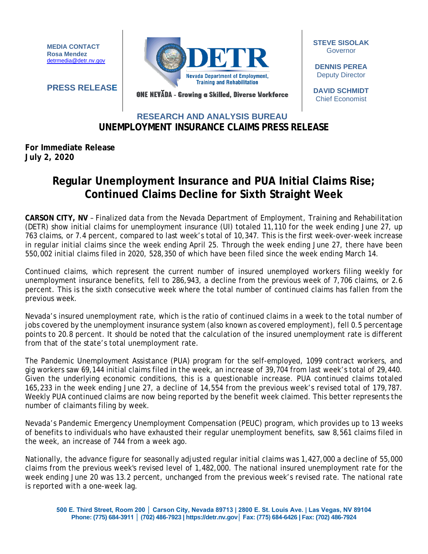**MEDIA CONTACT Rosa Mendez** [detrmedia@detr.nv.gov](mailto:detrmedia@detr.nv.gov)



**STEVE SISOLAK** Governor

**DENNIS PEREA** Deputy Director

**DAVID SCHMIDT** Chief Economist

**PRESS RELEASE**

ONE NEVĂDA - Growing a Skilled, Diverse Workforce

## **UNEMPLOYMENT INSURANCE CLAIMS PRESS RELEASE RESEARCH AND ANALYSIS BUREAU**

## **For Immediate Release July 2, 2020**

## **Regular Unemployment Insurance and PUA Initial Claims Rise; Continued Claims Decline for Sixth Straight Week**

**CARSON CITY, NV** – Finalized data from the Nevada Department of Employment, Training and Rehabilitation (DETR) show initial claims for unemployment insurance (UI) totaled 11,110 for the week ending June 27, up 763 claims, or 7.4 percent, compared to last week's total of 10,347. This is the first week-over-week increase in regular initial claims since the week ending April 25. Through the week ending June 27, there have been 550,002 initial claims filed in 2020, 528,350 of which have been filed since the week ending March 14.

Continued claims, which represent the current number of insured unemployed workers filing weekly for unemployment insurance benefits, fell to 286,943, a decline from the previous week of 7,706 claims, or 2.6 percent. This is the sixth consecutive week where the total number of continued claims has fallen from the previous week.

Nevada's insured unemployment rate, which is the ratio of continued claims in a week to the total number of jobs covered by the unemployment insurance system (also known as covered employment), fell 0.5 percentage points to 20.8 percent. It should be noted that the calculation of the insured unemployment rate is different from that of the state's total unemployment rate.

The Pandemic Unemployment Assistance (PUA) program for the self-employed, 1099 contract workers, and gig workers saw 69,144 initial claims filed in the week, an increase of 39,704 from last week's total of 29,440. Given the underlying economic conditions, this is a questionable increase. PUA continued claims totaled 165,233 in the week ending June 27, a decline of 14,554 from the previous week's revised total of 179,787. Weekly PUA continued claims are now being reported by the benefit week claimed. This better represents the number of claimants filing by week.

Nevada's Pandemic Emergency Unemployment Compensation (PEUC) program, which provides up to 13 weeks of benefits to individuals who have exhausted their regular unemployment benefits, saw 8,561 claims filed in the week, an increase of 744 from a week ago.

Nationally, the advance figure for seasonally adjusted regular initial claims was 1,427,000 a decline of 55,000 claims from the previous week's revised level of 1,482,000. The national insured unemployment rate for the week ending June 20 was 13.2 percent, unchanged from the previous week's revised rate. The national rate is reported with a one-week lag.